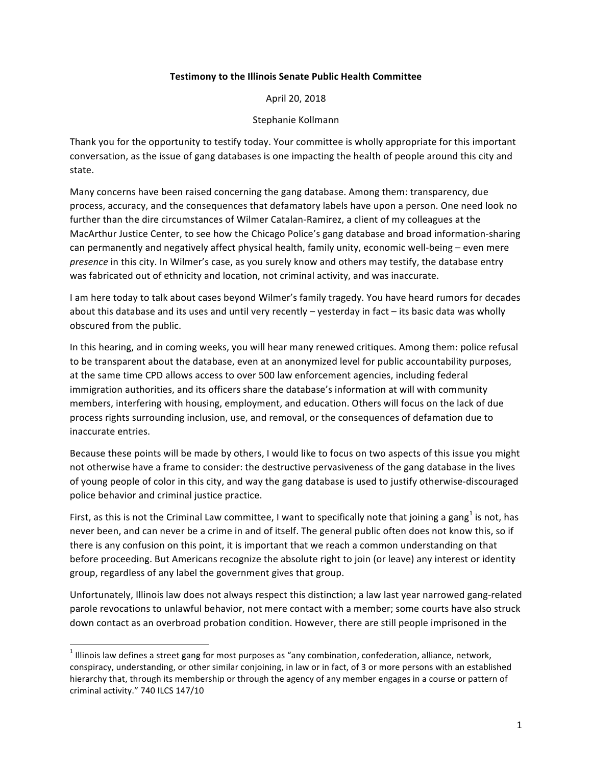## **Testimony to the Illinois Senate Public Health Committee**

April 20, 2018

## Stephanie Kollmann

Thank you for the opportunity to testify today. Your committee is wholly appropriate for this important conversation, as the issue of gang databases is one impacting the health of people around this city and state. 

Many concerns have been raised concerning the gang database. Among them: transparency, due process, accuracy, and the consequences that defamatory labels have upon a person. One need look no further than the dire circumstances of Wilmer Catalan-Ramirez, a client of my colleagues at the MacArthur Justice Center, to see how the Chicago Police's gang database and broad information-sharing can permanently and negatively affect physical health, family unity, economic well-being – even mere *presence* in this city. In Wilmer's case, as you surely know and others may testify, the database entry was fabricated out of ethnicity and location, not criminal activity, and was inaccurate.

I am here today to talk about cases beyond Wilmer's family tragedy. You have heard rumors for decades about this database and its uses and until very recently  $-$  yesterday in fact  $-$  its basic data was wholly obscured from the public.

In this hearing, and in coming weeks, you will hear many renewed critiques. Among them: police refusal to be transparent about the database, even at an anonymized level for public accountability purposes, at the same time CPD allows access to over 500 law enforcement agencies, including federal immigration authorities, and its officers share the database's information at will with community members, interfering with housing, employment, and education. Others will focus on the lack of due process rights surrounding inclusion, use, and removal, or the consequences of defamation due to inaccurate entries.

Because these points will be made by others, I would like to focus on two aspects of this issue you might not otherwise have a frame to consider: the destructive pervasiveness of the gang database in the lives of young people of color in this city, and way the gang database is used to justify otherwise-discouraged police behavior and criminal justice practice.

First, as this is not the Criminal Law committee, I want to specifically note that joining a gang<sup>1</sup> is not, has never been, and can never be a crime in and of itself. The general public often does not know this, so if there is any confusion on this point, it is important that we reach a common understanding on that before proceeding. But Americans recognize the absolute right to join (or leave) any interest or identity group, regardless of any label the government gives that group.

Unfortunately, Illinois law does not always respect this distinction; a law last year narrowed gang-related parole revocations to unlawful behavior, not mere contact with a member; some courts have also struck down contact as an overbroad probation condition. However, there are still people imprisoned in the

 

 $1$  Illinois law defines a street gang for most purposes as "any combination, confederation, alliance, network, conspiracy, understanding, or other similar conjoining, in law or in fact, of 3 or more persons with an established hierarchy that, through its membership or through the agency of any member engages in a course or pattern of criminal activity." 740 ILCS 147/10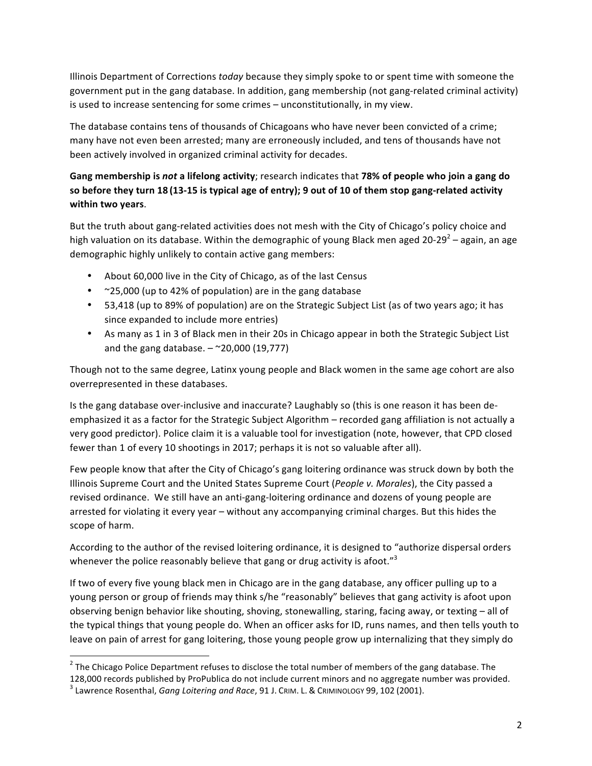Illinois Department of Corrections *today* because they simply spoke to or spent time with someone the government put in the gang database. In addition, gang membership (not gang-related criminal activity) is used to increase sentencing for some crimes – unconstitutionally, in my view.

The database contains tens of thousands of Chicagoans who have never been convicted of a crime; many have not even been arrested; many are erroneously included, and tens of thousands have not been actively involved in organized criminal activity for decades.

## **Gang membership is not a lifelong activity**; research indicates that 78% of people who join a gang do so before they turn 18 (13-15 is typical age of entry); 9 out of 10 of them stop gang-related activity **within two years**.

But the truth about gang-related activities does not mesh with the City of Chicago's policy choice and high valuation on its database. Within the demographic of young Black men aged 20-29<sup>2</sup> – again, an age demographic highly unlikely to contain active gang members:

- About 60,000 live in the City of Chicago, as of the last Census
- $\approx$  25,000 (up to 42% of population) are in the gang database
- 53,418 (up to 89% of population) are on the Strategic Subject List (as of two years ago; it has since expanded to include more entries)
- As many as 1 in 3 of Black men in their 20s in Chicago appear in both the Strategic Subject List and the gang database.  $-$  ~20,000 (19,777)

Though not to the same degree, Latinx young people and Black women in the same age cohort are also overrepresented in these databases.

Is the gang database over-inclusive and inaccurate? Laughably so (this is one reason it has been deemphasized it as a factor for the Strategic Subject Algorithm – recorded gang affiliation is not actually a very good predictor). Police claim it is a valuable tool for investigation (note, however, that CPD closed fewer than 1 of every 10 shootings in 2017; perhaps it is not so valuable after all).

Few people know that after the City of Chicago's gang loitering ordinance was struck down by both the Illinois Supreme Court and the United States Supreme Court (*People v. Morales*), the City passed a revised ordinance. We still have an anti-gang-loitering ordinance and dozens of young people are arrested for violating it every year – without any accompanying criminal charges. But this hides the scope of harm.

According to the author of the revised loitering ordinance, it is designed to "authorize dispersal orders whenever the police reasonably believe that gang or drug activity is afoot." $3$ 

If two of every five young black men in Chicago are in the gang database, any officer pulling up to a young person or group of friends may think s/he "reasonably" believes that gang activity is afoot upon observing benign behavior like shouting, shoving, stonewalling, staring, facing away, or texting - all of the typical things that young people do. When an officer asks for ID, runs names, and then tells youth to leave on pain of arrest for gang loitering, those young people grow up internalizing that they simply do

 

 $2$  The Chicago Police Department refuses to disclose the total number of members of the gang database. The 128,000 records published by ProPublica do not include current minors and no aggregate number was provided.<br><sup>3</sup> Lawrence Rosenthal, *Gang Loitering and Race*, 91 J. CRIM. L. & CRIMINOLOGY 99, 102 (2001).